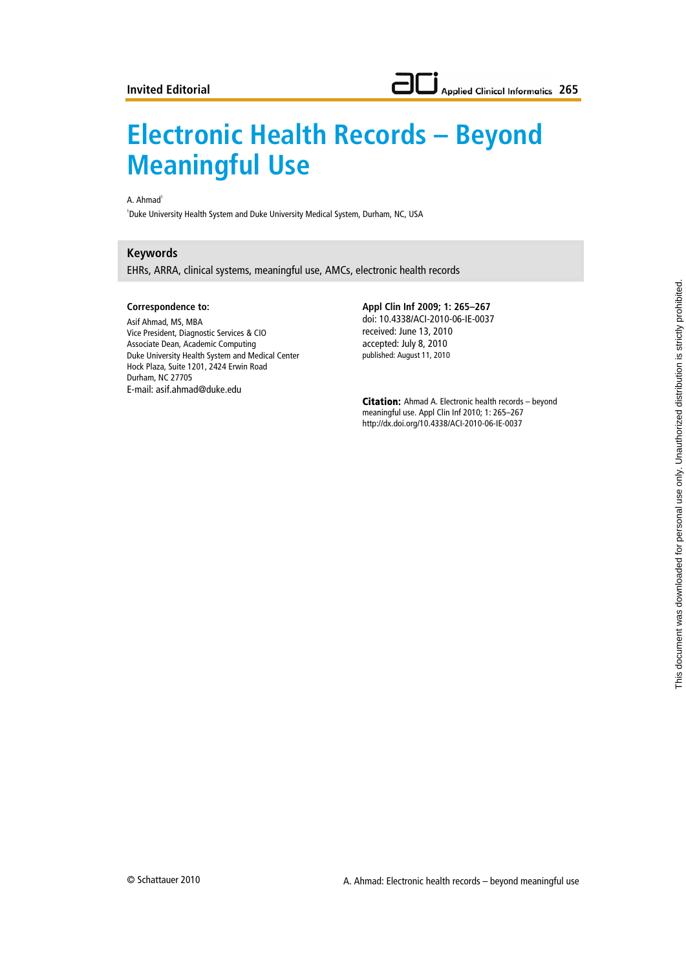# **Electronic Health Records – Beyond Meaningful Use**

### A. Ahmad<sup>1</sup>

1 Duke University Health System and Duke University Medical System, Durham, NC, USA

## **Keywords**

EHRs, ARRA, clinical systems, meaningful use, AMCs, electronic health records

#### **Correspondence to:**

Asif Ahmad, MS, MBA Vice President, Diagnostic Services & CIO Associate Dean, Academic Computing Duke University Health System and Medical Center Hock Plaza, Suite 1201, 2424 Erwin Road Durham, NC 27705 E-mail: asif.ahmad@duke.edu

**Appl Clin Inf 2009; 1: 265–267** doi: 10.4338/ACI-2010-06-IE-0037 received: June 13, 2010 accepted: July 8, 2010 published: August 11, 2010

**Citation:** Ahmad A. Electronic health records – beyond meaningful use. Appl Clin Inf 2010; 1: 265–267 http://dx.doi.org/10.4338/ACI-2010-06-IE-0037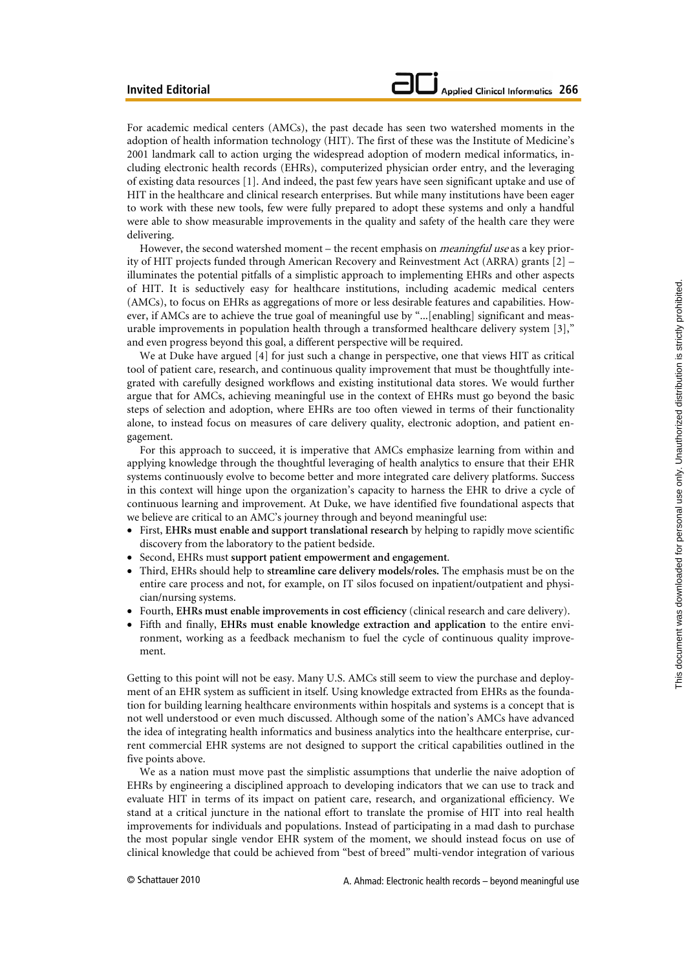For academic medical centers (AMCs), the past decade has seen two watershed moments in the adoption of health information technology (HIT). The first of these was the Institute of Medicine's 2001 landmark call to action urging the widespread adoption of modern medical informatics, including electronic health records (EHRs), computerized physician order entry, and the leveraging of existing data resources [1]. And indeed, the past few years have seen significant uptake and use of HIT in the healthcare and clinical research enterprises. But while many institutions have been eager to work with these new tools, few were fully prepared to adopt these systems and only a handful were able to show measurable improvements in the quality and safety of the health care they were delivering.

However, the second watershed moment – the recent emphasis on *meaningful use* as a key priority of HIT projects funded through American Recovery and Reinvestment Act (ARRA) grants [2] – illuminates the potential pitfalls of a simplistic approach to implementing EHRs and other aspects of HIT. It is seductively easy for healthcare institutions, including academic medical centers (AMCs), to focus on EHRs as aggregations of more or less desirable features and capabilities. However, if AMCs are to achieve the true goal of meaningful use by "...[enabling] significant and measurable improvements in population health through a transformed healthcare delivery system [3]," and even progress beyond this goal, a different perspective will be required.

We at Duke have argued [4] for just such a change in perspective, one that views HIT as critical tool of patient care, research, and continuous quality improvement that must be thoughtfully integrated with carefully designed workflows and existing institutional data stores. We would further argue that for AMCs, achieving meaningful use in the context of EHRs must go beyond the basic steps of selection and adoption, where EHRs are too often viewed in terms of their functionality alone, to instead focus on measures of care delivery quality, electronic adoption, and patient engagement.

For this approach to succeed, it is imperative that AMCs emphasize learning from within and applying knowledge through the thoughtful leveraging of health analytics to ensure that their EHR systems continuously evolve to become better and more integrated care delivery platforms. Success in this context will hinge upon the organization's capacity to harness the EHR to drive a cycle of continuous learning and improvement. At Duke, we have identified five foundational aspects that we believe are critical to an AMC's journey through and beyond meaningful use:

- First, **EHRs must enable and support translational research** by helping to rapidly move scientific discovery from the laboratory to the patient bedside.
- Second, EHRs must **support patient empowerment and engagement**.
- Third, EHRs should help to **streamline care delivery models/roles.** The emphasis must be on the entire care process and not, for example, on IT silos focused on inpatient/outpatient and physician/nursing systems.
- Fourth, **EHRs must enable improvements in cost efficiency** (clinical research and care delivery).
- Fifth and finally, **EHRs must enable knowledge extraction and application** to the entire environment, working as a feedback mechanism to fuel the cycle of continuous quality improvement.

Getting to this point will not be easy. Many U.S. AMCs still seem to view the purchase and deployment of an EHR system as sufficient in itself. Using knowledge extracted from EHRs as the foundation for building learning healthcare environments within hospitals and systems is a concept that is not well understood or even much discussed. Although some of the nation's AMCs have advanced the idea of integrating health informatics and business analytics into the healthcare enterprise, current commercial EHR systems are not designed to support the critical capabilities outlined in the five points above.

We as a nation must move past the simplistic assumptions that underlie the naive adoption of EHRs by engineering a disciplined approach to developing indicators that we can use to track and evaluate HIT in terms of its impact on patient care, research, and organizational efficiency. We stand at a critical juncture in the national effort to translate the promise of HIT into real health improvements for individuals and populations. Instead of participating in a mad dash to purchase the most popular single vendor EHR system of the moment, we should instead focus on use of clinical knowledge that could be achieved from "best of breed" multi-vendor integration of various